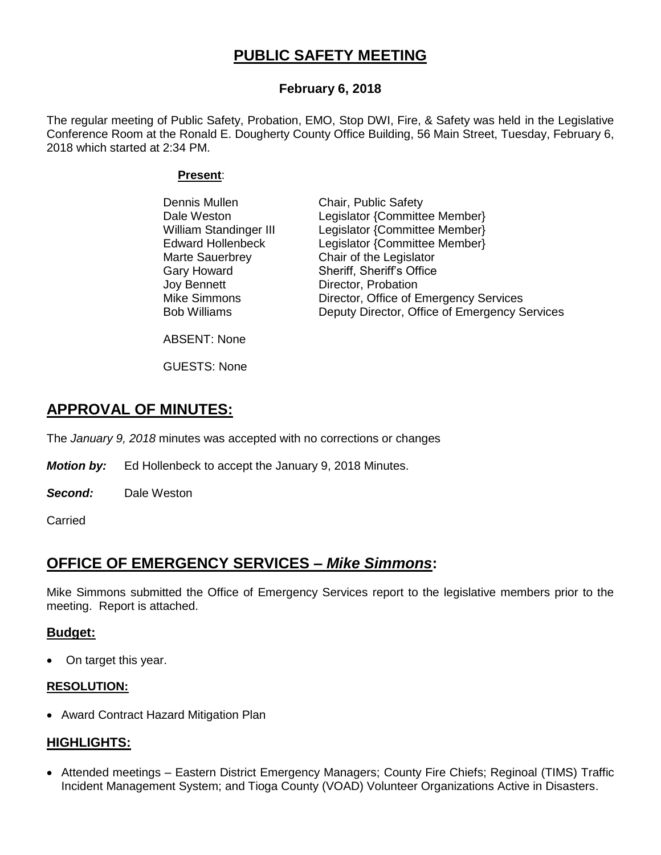# **PUBLIC SAFETY MEETING**

## **February 6, 2018**

The regular meeting of Public Safety, Probation, EMO, Stop DWI, Fire, & Safety was held in the Legislative Conference Room at the Ronald E. Dougherty County Office Building, 56 Main Street, Tuesday, February 6, 2018 which started at 2:34 PM.

### **Present**:

| Dennis Mullen            | Chair, Public Safety                          |
|--------------------------|-----------------------------------------------|
| Dale Weston              | Legislator {Committee Member}                 |
| William Standinger III   | Legislator {Committee Member}                 |
| <b>Edward Hollenbeck</b> | Legislator {Committee Member}                 |
| Marte Sauerbrey          | Chair of the Legislator                       |
| <b>Gary Howard</b>       | Sheriff, Sheriff's Office                     |
| Joy Bennett              | Director, Probation                           |
| Mike Simmons             | Director, Office of Emergency Services        |
| <b>Bob Williams</b>      | Deputy Director, Office of Emergency Services |
|                          |                                               |

ABSENT: None

GUESTS: None

## **APPROVAL OF MINUTES:**

The *January 9, 2018* minutes was accepted with no corrections or changes

*Motion by:* Ed Hollenbeck to accept the January 9, 2018 Minutes.

*Second:* Dale Weston

Carried

# **OFFICE OF EMERGENCY SERVICES –** *Mike Simmons***:**

Mike Simmons submitted the Office of Emergency Services report to the legislative members prior to the meeting. Report is attached.

## **Budget:**

• On target this year.

### **RESOLUTION:**

• Award Contract Hazard Mitigation Plan

## **HIGHLIGHTS:**

• Attended meetings – Eastern District Emergency Managers; County Fire Chiefs; Reginoal (TIMS) Traffic Incident Management System; and Tioga County (VOAD) Volunteer Organizations Active in Disasters.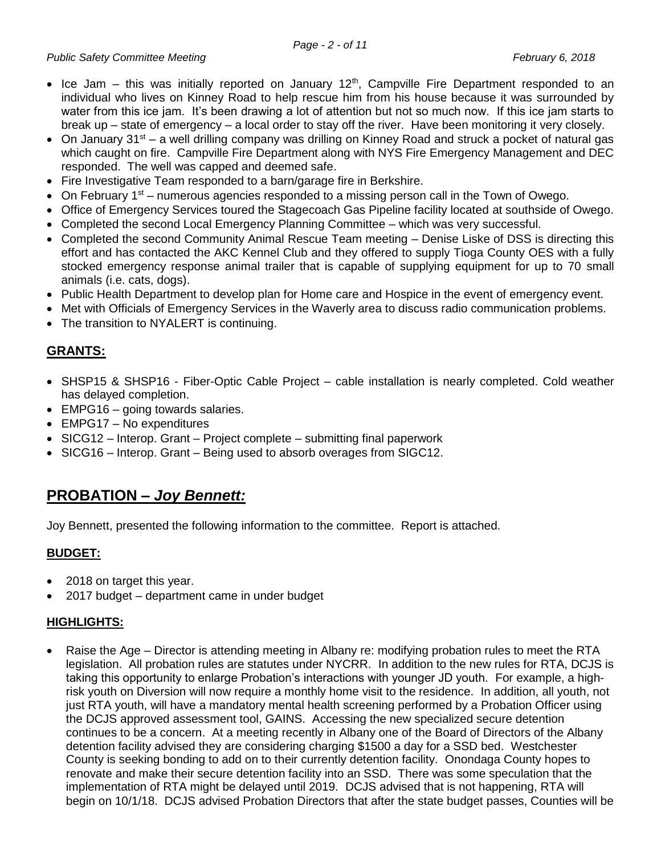- $\bullet$  Ice Jam this was initially reported on January 12<sup>th</sup>, Campville Fire Department responded to an individual who lives on Kinney Road to help rescue him from his house because it was surrounded by water from this ice jam. It's been drawing a lot of attention but not so much now. If this ice jam starts to break up – state of emergency – a local order to stay off the river. Have been monitoring it very closely.
- $\bullet$  On January 31<sup>st</sup> a well drilling company was drilling on Kinney Road and struck a pocket of natural gas which caught on fire. Campville Fire Department along with NYS Fire Emergency Management and DEC responded. The well was capped and deemed safe.
- Fire Investigative Team responded to a barn/garage fire in Berkshire.
- On February  $1<sup>st</sup>$  numerous agencies responded to a missing person call in the Town of Owego.
- Office of Emergency Services toured the Stagecoach Gas Pipeline facility located at southside of Owego.
- Completed the second Local Emergency Planning Committee which was very successful.
- Completed the second Community Animal Rescue Team meeting Denise Liske of DSS is directing this effort and has contacted the AKC Kennel Club and they offered to supply Tioga County OES with a fully stocked emergency response animal trailer that is capable of supplying equipment for up to 70 small animals (i.e. cats, dogs).
- Public Health Department to develop plan for Home care and Hospice in the event of emergency event.
- Met with Officials of Emergency Services in the Waverly area to discuss radio communication problems.
- The transition to NYALERT is continuing.

## **GRANTS:**

- SHSP15 & SHSP16 Fiber-Optic Cable Project cable installation is nearly completed. Cold weather has delayed completion.
- EMPG16 going towards salaries.
- EMPG17 No expenditures
- SICG12 Interop. Grant Project complete submitting final paperwork
- SICG16 Interop. Grant Being used to absorb overages from SIGC12.

## **PROBATION –** *Joy Bennett:*

Joy Bennett, presented the following information to the committee. Report is attached.

### **BUDGET:**

- 2018 on target this year.
- 2017 budget department came in under budget

## **HIGHLIGHTS:**

 Raise the Age – Director is attending meeting in Albany re: modifying probation rules to meet the RTA legislation. All probation rules are statutes under NYCRR. In addition to the new rules for RTA, DCJS is taking this opportunity to enlarge Probation's interactions with younger JD youth. For example, a highrisk youth on Diversion will now require a monthly home visit to the residence. In addition, all youth, not just RTA youth, will have a mandatory mental health screening performed by a Probation Officer using the DCJS approved assessment tool, GAINS. Accessing the new specialized secure detention continues to be a concern. At a meeting recently in Albany one of the Board of Directors of the Albany detention facility advised they are considering charging \$1500 a day for a SSD bed. Westchester County is seeking bonding to add on to their currently detention facility. Onondaga County hopes to renovate and make their secure detention facility into an SSD. There was some speculation that the implementation of RTA might be delayed until 2019. DCJS advised that is not happening, RTA will begin on 10/1/18. DCJS advised Probation Directors that after the state budget passes, Counties will be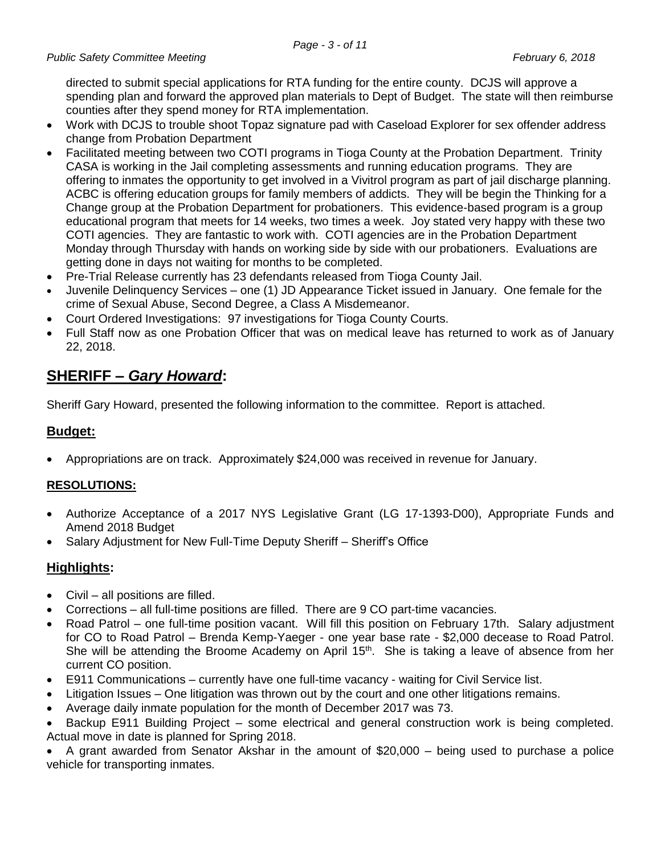directed to submit special applications for RTA funding for the entire county. DCJS will approve a spending plan and forward the approved plan materials to Dept of Budget. The state will then reimburse counties after they spend money for RTA implementation.

- Work with DCJS to trouble shoot Topaz signature pad with Caseload Explorer for sex offender address change from Probation Department
- Facilitated meeting between two COTI programs in Tioga County at the Probation Department. Trinity CASA is working in the Jail completing assessments and running education programs. They are offering to inmates the opportunity to get involved in a Vivitrol program as part of jail discharge planning. ACBC is offering education groups for family members of addicts. They will be begin the Thinking for a Change group at the Probation Department for probationers. This evidence-based program is a group educational program that meets for 14 weeks, two times a week. Joy stated very happy with these two COTI agencies. They are fantastic to work with. COTI agencies are in the Probation Department Monday through Thursday with hands on working side by side with our probationers. Evaluations are getting done in days not waiting for months to be completed.
- Pre-Trial Release currently has 23 defendants released from Tioga County Jail.
- Juvenile Delinquency Services one (1) JD Appearance Ticket issued in January. One female for the crime of Sexual Abuse, Second Degree, a Class A Misdemeanor.
- Court Ordered Investigations: 97 investigations for Tioga County Courts.
- Full Staff now as one Probation Officer that was on medical leave has returned to work as of January 22, 2018.

# **SHERIFF –** *Gary Howard***:**

Sheriff Gary Howard, presented the following information to the committee. Report is attached.

## **Budget:**

Appropriations are on track. Approximately \$24,000 was received in revenue for January.

## **RESOLUTIONS:**

- Authorize Acceptance of a 2017 NYS Legislative Grant (LG 17-1393-D00), Appropriate Funds and Amend 2018 Budget
- Salary Adjustment for New Full-Time Deputy Sheriff Sheriff's Office

## **Highlights:**

- Civil all positions are filled.
- Corrections all full-time positions are filled. There are 9 CO part-time vacancies.
- Road Patrol one full-time position vacant. Will fill this position on February 17th. Salary adjustment for CO to Road Patrol – Brenda Kemp-Yaeger - one year base rate - \$2,000 decease to Road Patrol. She will be attending the Broome Academy on April  $15<sup>th</sup>$ . She is taking a leave of absence from her current CO position.
- E911 Communications currently have one full-time vacancy waiting for Civil Service list.
- Litigation Issues One litigation was thrown out by the court and one other litigations remains.
- Average daily inmate population for the month of December 2017 was 73.
- Backup E911 Building Project some electrical and general construction work is being completed. Actual move in date is planned for Spring 2018.
- A grant awarded from Senator Akshar in the amount of \$20,000 being used to purchase a police vehicle for transporting inmates.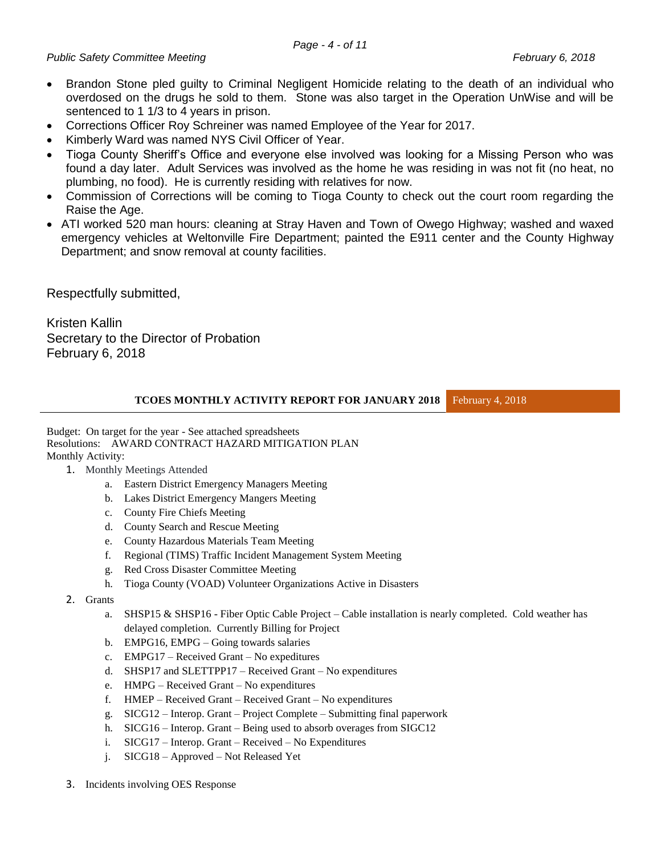- Brandon Stone pled guilty to Criminal Negligent Homicide relating to the death of an individual who overdosed on the drugs he sold to them. Stone was also target in the Operation UnWise and will be sentenced to 1 1/3 to 4 years in prison.
- Corrections Officer Roy Schreiner was named Employee of the Year for 2017.
- Kimberly Ward was named NYS Civil Officer of Year.
- Tioga County Sheriff's Office and everyone else involved was looking for a Missing Person who was found a day later. Adult Services was involved as the home he was residing in was not fit (no heat, no plumbing, no food). He is currently residing with relatives for now.
- Commission of Corrections will be coming to Tioga County to check out the court room regarding the Raise the Age.
- ATI worked 520 man hours: cleaning at Stray Haven and Town of Owego Highway; washed and waxed emergency vehicles at Weltonville Fire Department; painted the E911 center and the County Highway Department; and snow removal at county facilities.

Respectfully submitted,

Kristen Kallin Secretary to the Director of Probation February 6, 2018

### **TCOES MONTHLY ACTIVITY REPORT FOR JANUARY 2018** February 4, 2018

Budget: On target for the year - See attached spreadsheets Resolutions: AWARD CONTRACT HAZARD MITIGATION PLAN Monthly Activity:

- 1. Monthly Meetings Attended
	- a. Eastern District Emergency Managers Meeting
	- b. Lakes District Emergency Mangers Meeting
	- c. County Fire Chiefs Meeting
	- d. County Search and Rescue Meeting
	- e. County Hazardous Materials Team Meeting
	- f. Regional (TIMS) Traffic Incident Management System Meeting
	- g. Red Cross Disaster Committee Meeting
	- h. Tioga County (VOAD) Volunteer Organizations Active in Disasters
- 2. Grants
	- a. SHSP15 & SHSP16 Fiber Optic Cable Project Cable installation is nearly completed. Cold weather has delayed completion. Currently Billing for Project
	- b. EMPG16, EMPG Going towards salaries
	- c. EMPG17 Received Grant No expeditures
	- d. SHSP17 and SLETTPP17 Received Grant No expenditures
	- e. HMPG Received Grant No expenditures
	- f. HMEP Received Grant Received Grant No expenditures
	- g. SICG12 Interop. Grant Project Complete Submitting final paperwork
	- h. SICG16 Interop. Grant Being used to absorb overages from SIGC12
	- i. SICG17 Interop. Grant Received No Expenditures
	- j. SICG18 Approved Not Released Yet
- 3. Incidents involving OES Response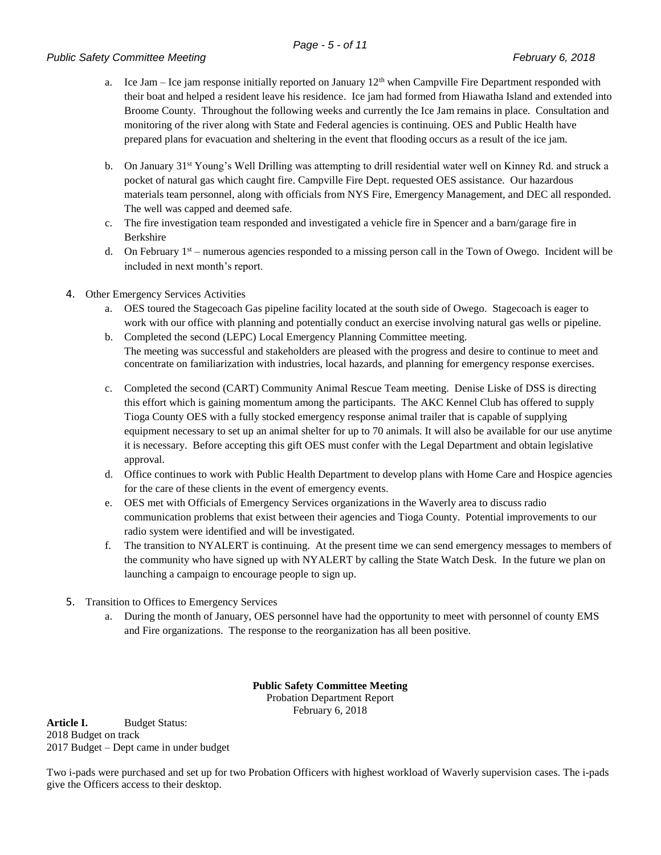- a. Ice Jam Ice jam response initially reported on January  $12<sup>th</sup>$  when Campville Fire Department responded with their boat and helped a resident leave his residence. Ice jam had formed from Hiawatha Island and extended into Broome County. Throughout the following weeks and currently the Ice Jam remains in place. Consultation and monitoring of the river along with State and Federal agencies is continuing. OES and Public Health have prepared plans for evacuation and sheltering in the event that flooding occurs as a result of the ice jam.
- b. On January 31<sup>st</sup> Young's Well Drilling was attempting to drill residential water well on Kinney Rd. and struck a pocket of natural gas which caught fire. Campville Fire Dept. requested OES assistance. Our hazardous materials team personnel, along with officials from NYS Fire, Emergency Management, and DEC all responded. The well was capped and deemed safe.
- c. The fire investigation team responded and investigated a vehicle fire in Spencer and a barn/garage fire in Berkshire
- d. On February  $1<sup>st</sup>$  numerous agencies responded to a missing person call in the Town of Owego. Incident will be included in next month's report.
- 4. Other Emergency Services Activities
	- a. OES toured the Stagecoach Gas pipeline facility located at the south side of Owego. Stagecoach is eager to work with our office with planning and potentially conduct an exercise involving natural gas wells or pipeline.
	- b. Completed the second (LEPC) Local Emergency Planning Committee meeting. The meeting was successful and stakeholders are pleased with the progress and desire to continue to meet and concentrate on familiarization with industries, local hazards, and planning for emergency response exercises.
	- c. Completed the second (CART) Community Animal Rescue Team meeting. Denise Liske of DSS is directing this effort which is gaining momentum among the participants. The AKC Kennel Club has offered to supply Tioga County OES with a fully stocked emergency response animal trailer that is capable of supplying equipment necessary to set up an animal shelter for up to 70 animals. It will also be available for our use anytime it is necessary. Before accepting this gift OES must confer with the Legal Department and obtain legislative approval.
	- d. Office continues to work with Public Health Department to develop plans with Home Care and Hospice agencies for the care of these clients in the event of emergency events.
	- e. OES met with Officials of Emergency Services organizations in the Waverly area to discuss radio communication problems that exist between their agencies and Tioga County. Potential improvements to our radio system were identified and will be investigated.
	- f. The transition to NYALERT is continuing. At the present time we can send emergency messages to members of the community who have signed up with NYALERT by calling the State Watch Desk. In the future we plan on launching a campaign to encourage people to sign up.
- 5. Transition to Offices to Emergency Services
	- a. During the month of January, OES personnel have had the opportunity to meet with personnel of county EMS and Fire organizations. The response to the reorganization has all been positive.

**Public Safety Committee Meeting** Probation Department Report February 6, 2018

Article I. Budget Status: 2018 Budget on track 2017 Budget – Dept came in under budget

Two i-pads were purchased and set up for two Probation Officers with highest workload of Waverly supervision cases. The i-pads give the Officers access to their desktop.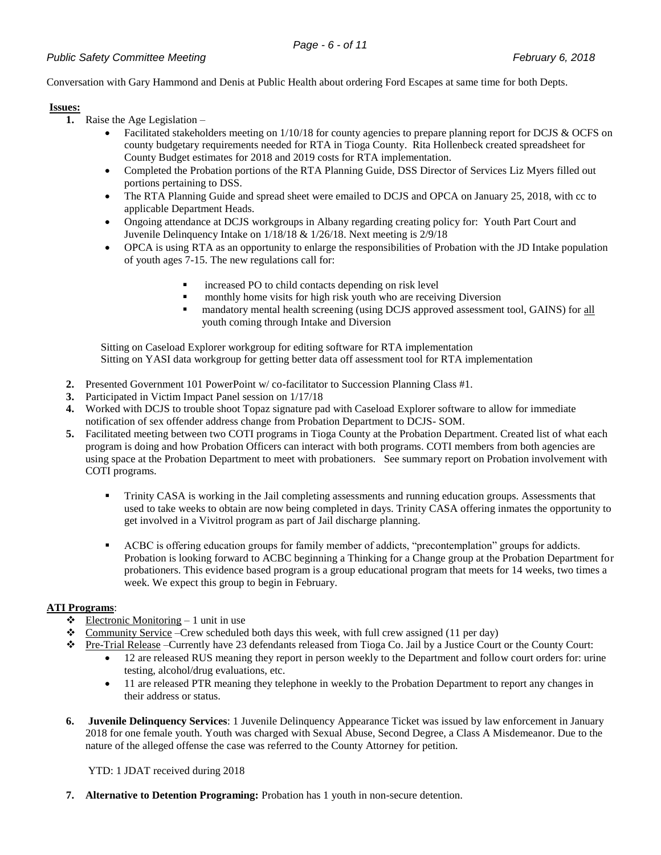#### *Page - 6 - of 11*

#### *Public Safety Committee Meeting February 6, 2018*

Conversation with Gary Hammond and Denis at Public Health about ordering Ford Escapes at same time for both Depts.

#### **Issues:**

- **1.** Raise the Age Legislation
	- Facilitated stakeholders meeting on 1/10/18 for county agencies to prepare planning report for DCJS & OCFS on county budgetary requirements needed for RTA in Tioga County. Rita Hollenbeck created spreadsheet for County Budget estimates for 2018 and 2019 costs for RTA implementation.
	- Completed the Probation portions of the RTA Planning Guide, DSS Director of Services Liz Myers filled out portions pertaining to DSS.
	- The RTA Planning Guide and spread sheet were emailed to DCJS and OPCA on January 25, 2018, with cc to applicable Department Heads.
	- Ongoing attendance at DCJS workgroups in Albany regarding creating policy for: Youth Part Court and Juvenile Delinquency Intake on 1/18/18 & 1/26/18. Next meeting is 2/9/18
	- OPCA is using RTA as an opportunity to enlarge the responsibilities of Probation with the JD Intake population of youth ages 7-15. The new regulations call for:
		- increased PO to child contacts depending on risk level
		- monthly home visits for high risk youth who are receiving Diversion
		- mandatory mental health screening (using DCJS approved assessment tool, GAINS) for all youth coming through Intake and Diversion

 Sitting on Caseload Explorer workgroup for editing software for RTA implementation Sitting on YASI data workgroup for getting better data off assessment tool for RTA implementation

- **2.** Presented Government 101 PowerPoint w/ co-facilitator to Succession Planning Class #1.
- **3.** Participated in Victim Impact Panel session on 1/17/18
- **4.** Worked with DCJS to trouble shoot Topaz signature pad with Caseload Explorer software to allow for immediate notification of sex offender address change from Probation Department to DCJS- SOM.
- **5.** Facilitated meeting between two COTI programs in Tioga County at the Probation Department. Created list of what each program is doing and how Probation Officers can interact with both programs. COTI members from both agencies are using space at the Probation Department to meet with probationers. See summary report on Probation involvement with COTI programs.
	- Trinity CASA is working in the Jail completing assessments and running education groups. Assessments that used to take weeks to obtain are now being completed in days. Trinity CASA offering inmates the opportunity to get involved in a Vivitrol program as part of Jail discharge planning.
	- ACBC is offering education groups for family member of addicts, "precontemplation" groups for addicts. Probation is looking forward to ACBC beginning a Thinking for a Change group at the Probation Department for probationers. This evidence based program is a group educational program that meets for 14 weeks, two times a week. We expect this group to begin in February.

#### **ATI Programs**:

- $\triangleleft$  Electronic Monitoring 1 unit in use
- \* Community Service –Crew scheduled both days this week, with full crew assigned (11 per day)
- $\cdot \cdot \cdot$  Pre-Trial Release –Currently have 23 defendants released from Tioga Co. Jail by a Justice Court or the County Court:
	- 12 are released RUS meaning they report in person weekly to the Department and follow court orders for: urine testing, alcohol/drug evaluations, etc.
	- 11 are released PTR meaning they telephone in weekly to the Probation Department to report any changes in their address or status.
- **6. Juvenile Delinquency Services**: 1 Juvenile Delinquency Appearance Ticket was issued by law enforcement in January 2018 for one female youth. Youth was charged with Sexual Abuse, Second Degree, a Class A Misdemeanor. Due to the nature of the alleged offense the case was referred to the County Attorney for petition.

YTD: 1 JDAT received during 2018

**7. Alternative to Detention Programing:** Probation has 1 youth in non-secure detention.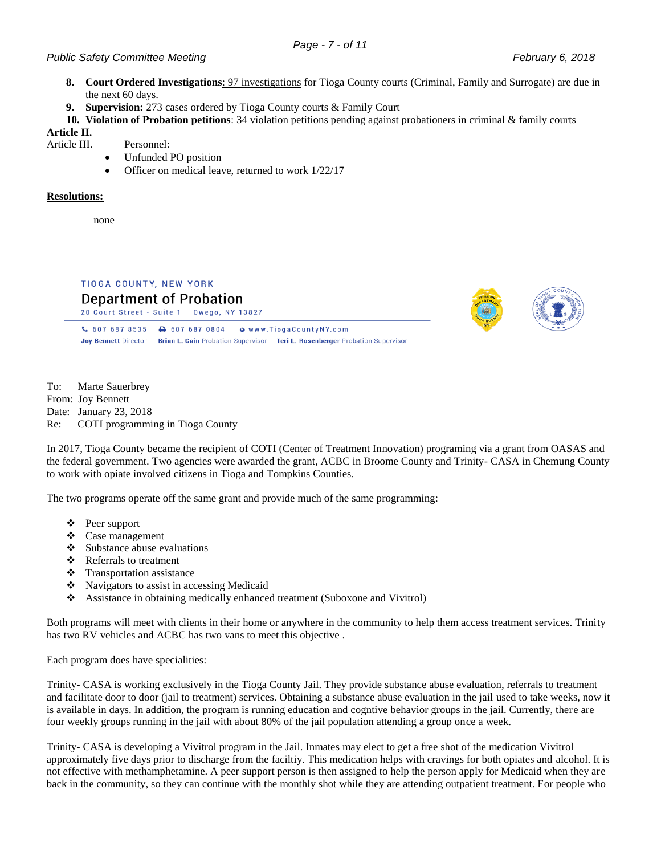- **8. Court Ordered Investigations**: 97 investigations for Tioga County courts (Criminal, Family and Surrogate) are due in the next 60 days.
- **9. Supervision:** 273 cases ordered by Tioga County courts & Family Court
- **10. Violation of Probation petitions**: 34 violation petitions pending against probationers in criminal & family courts

**Article II.**

Article III. Personnel:

- Unfunded PO position
- Officer on medical leave, returned to work 1/22/17

#### **Resolutions:**

none

#### **TIOGA COUNTY, NEW YORK**

Department of Probation

20 Court Street - Suite 1 Owego, NY 13827

 $\sim$  607 687 8535  $\leftrightarrow$  607 687 0804  $\leftrightarrow$  www.TiogaCountyNY.com Joy Bennett Director Brian L. Cain Probation Supervisor Teri L. Rosenberger Probation Supervisor



To: Marte Sauerbrey From: Joy Bennett Date: January 23, 2018 Re: COTI programming in Tioga County

In 2017, Tioga County became the recipient of COTI (Center of Treatment Innovation) programing via a grant from OASAS and the federal government. Two agencies were awarded the grant, ACBC in Broome County and Trinity- CASA in Chemung County to work with opiate involved citizens in Tioga and Tompkins Counties.

The two programs operate off the same grant and provide much of the same programming:

- Peer support
- Case management
- $\bullet$  Substance abuse evaluations
- Referrals to treatment
- Transportation assistance
- Navigators to assist in accessing Medicaid
- Assistance in obtaining medically enhanced treatment (Suboxone and Vivitrol)

Both programs will meet with clients in their home or anywhere in the community to help them access treatment services. Trinity has two RV vehicles and ACBC has two vans to meet this objective .

Each program does have specialities:

Trinity- CASA is working exclusively in the Tioga County Jail. They provide substance abuse evaluation, referrals to treatment and facilitate door to door (jail to treatment) services. Obtaining a substance abuse evaluation in the jail used to take weeks, now it is available in days. In addition, the program is running education and cogntive behavior groups in the jail. Currently, there are four weekly groups running in the jail with about 80% of the jail population attending a group once a week.

Trinity- CASA is developing a Vivitrol program in the Jail. Inmates may elect to get a free shot of the medication Vivitrol approximately five days prior to discharge from the faciltiy. This medication helps with cravings for both opiates and alcohol. It is not effective with methamphetamine. A peer support person is then assigned to help the person apply for Medicaid when they are back in the community, so they can continue with the monthly shot while they are attending outpatient treatment. For people who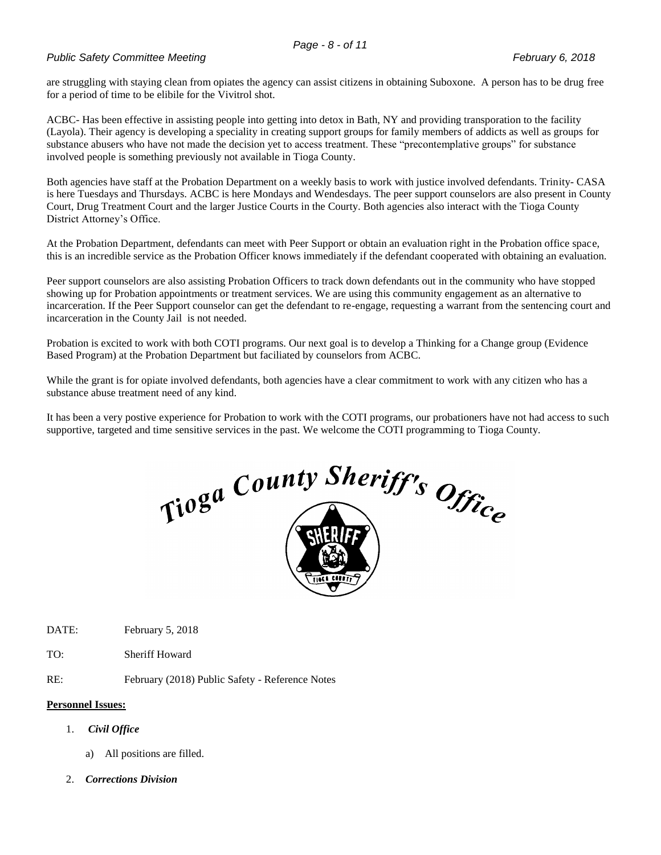are struggling with staying clean from opiates the agency can assist citizens in obtaining Suboxone. A person has to be drug free for a period of time to be elibile for the Vivitrol shot.

ACBC- Has been effective in assisting people into getting into detox in Bath, NY and providing transporation to the facility (Layola). Their agency is developing a speciality in creating support groups for family members of addicts as well as groups for substance abusers who have not made the decision yet to access treatment. These "precontemplative groups" for substance involved people is something previously not available in Tioga County.

Both agencies have staff at the Probation Department on a weekly basis to work with justice involved defendants. Trinity- CASA is here Tuesdays and Thursdays. ACBC is here Mondays and Wendesdays. The peer support counselors are also present in County Court, Drug Treatment Court and the larger Justice Courts in the Courty. Both agencies also interact with the Tioga County District Attorney's Office.

At the Probation Department, defendants can meet with Peer Support or obtain an evaluation right in the Probation office space, this is an incredible service as the Probation Officer knows immediately if the defendant cooperated with obtaining an evaluation.

Peer support counselors are also assisting Probation Officers to track down defendants out in the community who have stopped showing up for Probation appointments or treatment services. We are using this community engagement as an alternative to incarceration. If the Peer Support counselor can get the defendant to re-engage, requesting a warrant from the sentencing court and incarceration in the County Jail is not needed.

Probation is excited to work with both COTI programs. Our next goal is to develop a Thinking for a Change group (Evidence Based Program) at the Probation Department but faciliated by counselors from ACBC.

While the grant is for opiate involved defendants, both agencies have a clear commitment to work with any citizen who has a substance abuse treatment need of any kind.

It has been a very postive experience for Probation to work with the COTI programs, our probationers have not had access to such supportive, targeted and time sensitive services in the past. We welcome the COTI programming to Tioga County.



DATE: February 5, 2018

- TO: Sheriff Howard
- RE: February (2018) Public Safety Reference Notes

#### **Personnel Issues:**

- 1. *Civil Office*
	- a) All positions are filled.
- 2. *Corrections Division*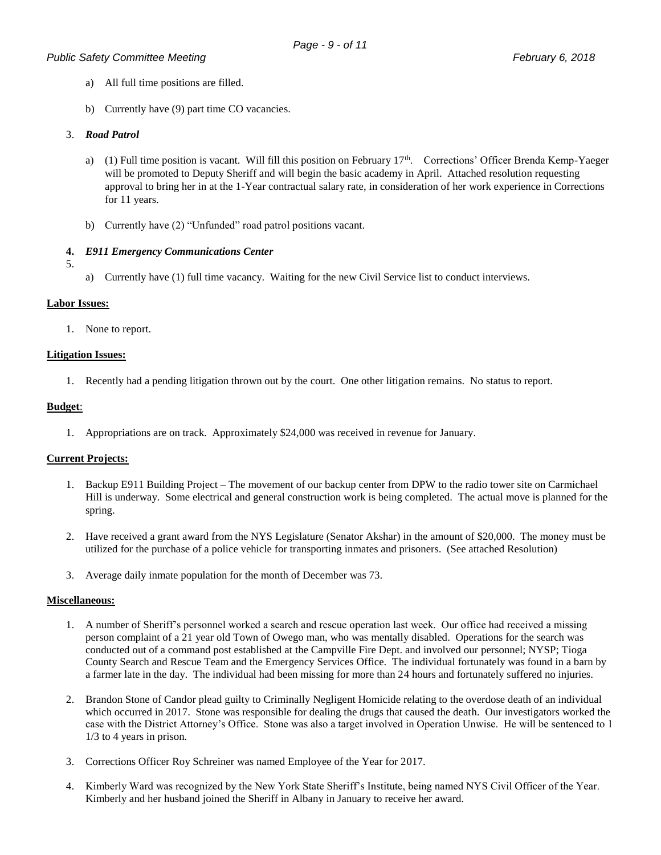- a) All full time positions are filled.
- b) Currently have (9) part time CO vacancies.

#### 3. *Road Patrol*

- a) (1) Full time position is vacant. Will fill this position on February 17<sup>th</sup>. Corrections' Officer Brenda Kemp-Yaeger will be promoted to Deputy Sheriff and will begin the basic academy in April. Attached resolution requesting approval to bring her in at the 1-Year contractual salary rate, in consideration of her work experience in Corrections for 11 years.
- b) Currently have (2) "Unfunded" road patrol positions vacant.

#### **4.** *E911 Emergency Communications Center*

a) Currently have (1) full time vacancy. Waiting for the new Civil Service list to conduct interviews.

#### **Labor Issues:**

5.

1. None to report.

#### **Litigation Issues:**

1. Recently had a pending litigation thrown out by the court. One other litigation remains. No status to report.

#### **Budget**:

1. Appropriations are on track. Approximately \$24,000 was received in revenue for January.

#### **Current Projects:**

- 1. Backup E911 Building Project The movement of our backup center from DPW to the radio tower site on Carmichael Hill is underway. Some electrical and general construction work is being completed. The actual move is planned for the spring.
- 2. Have received a grant award from the NYS Legislature (Senator Akshar) in the amount of \$20,000. The money must be utilized for the purchase of a police vehicle for transporting inmates and prisoners. (See attached Resolution)
- 3. Average daily inmate population for the month of December was 73.

#### **Miscellaneous:**

- 1. A number of Sheriff's personnel worked a search and rescue operation last week. Our office had received a missing person complaint of a 21 year old Town of Owego man, who was mentally disabled. Operations for the search was conducted out of a command post established at the Campville Fire Dept. and involved our personnel; NYSP; Tioga County Search and Rescue Team and the Emergency Services Office. The individual fortunately was found in a barn by a farmer late in the day. The individual had been missing for more than 24 hours and fortunately suffered no injuries.
- 2. Brandon Stone of Candor plead guilty to Criminally Negligent Homicide relating to the overdose death of an individual which occurred in 2017. Stone was responsible for dealing the drugs that caused the death. Our investigators worked the case with the District Attorney's Office. Stone was also a target involved in Operation Unwise. He will be sentenced to 1 1/3 to 4 years in prison.
- 3. Corrections Officer Roy Schreiner was named Employee of the Year for 2017.
- 4. Kimberly Ward was recognized by the New York State Sheriff's Institute, being named NYS Civil Officer of the Year. Kimberly and her husband joined the Sheriff in Albany in January to receive her award.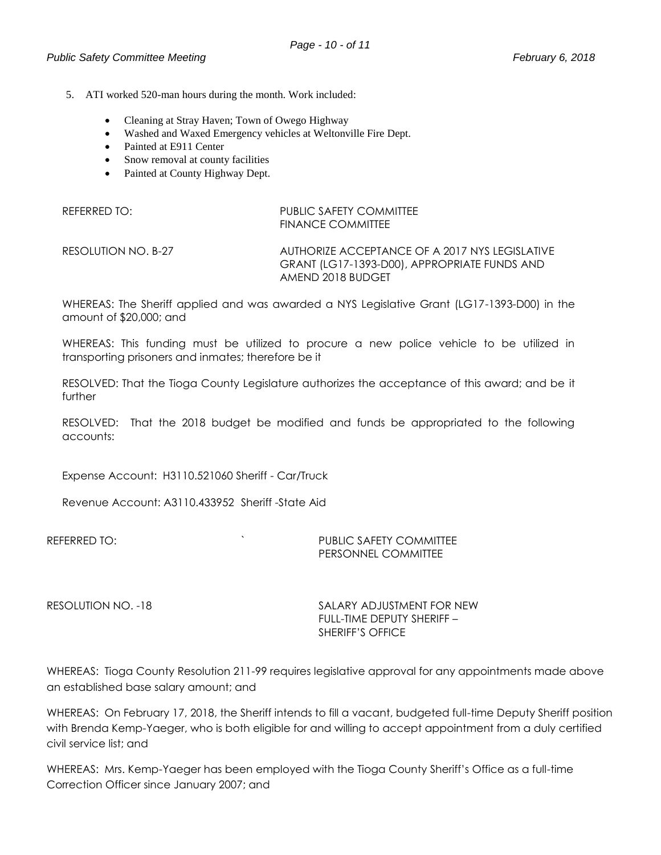- 5. ATI worked 520-man hours during the month. Work included:
	- Cleaning at Stray Haven; Town of Owego Highway
	- Washed and Waxed Emergency vehicles at Weltonville Fire Dept.
	- Painted at E911 Center
	- Snow removal at county facilities
	- Painted at County Highway Dept.

| REFERRED TO: | PUBLIC SAFETY COMMITTEE |
|--------------|-------------------------|
|              | FINANCE COMMITTEE       |

RESOLUTION NO. B-27 AUTHORIZE ACCEPTANCE OF A 2017 NYS LEGISLATIVE GRANT (LG17-1393-D00), APPROPRIATE FUNDS AND AMEND 2018 BUDGET

WHEREAS: The Sheriff applied and was awarded a NYS Legislative Grant (LG17-1393-D00) in the amount of \$20,000; and

WHEREAS: This funding must be utilized to procure a new police vehicle to be utilized in transporting prisoners and inmates; therefore be it

RESOLVED: That the Tioga County Legislature authorizes the acceptance of this award; and be it further

RESOLVED: That the 2018 budget be modified and funds be appropriated to the following accounts:

Expense Account: H3110.521060 Sheriff - Car/Truck

Revenue Account: A3110.433952 Sheriff -State Aid

REFERRED TO:  $\qquad \qquad \qquad$  PUBLIC SAFETY COMMITTEE PERSONNEL COMMITTEE

RESOLUTION NO. -18 SALARY ADJUSTMENT FOR NEW FULL-TIME DEPUTY SHERIFF – SHERIFF'S OFFICE

WHEREAS: Tioga County Resolution 211-99 requires legislative approval for any appointments made above an established base salary amount; and

WHEREAS: On February 17, 2018, the Sheriff intends to fill a vacant, budgeted full-time Deputy Sheriff position with Brenda Kemp-Yaeger, who is both eligible for and willing to accept appointment from a duly certified civil service list; and

WHEREAS: Mrs. Kemp-Yaeger has been employed with the Tioga County Sheriff's Office as a full-time Correction Officer since January 2007; and